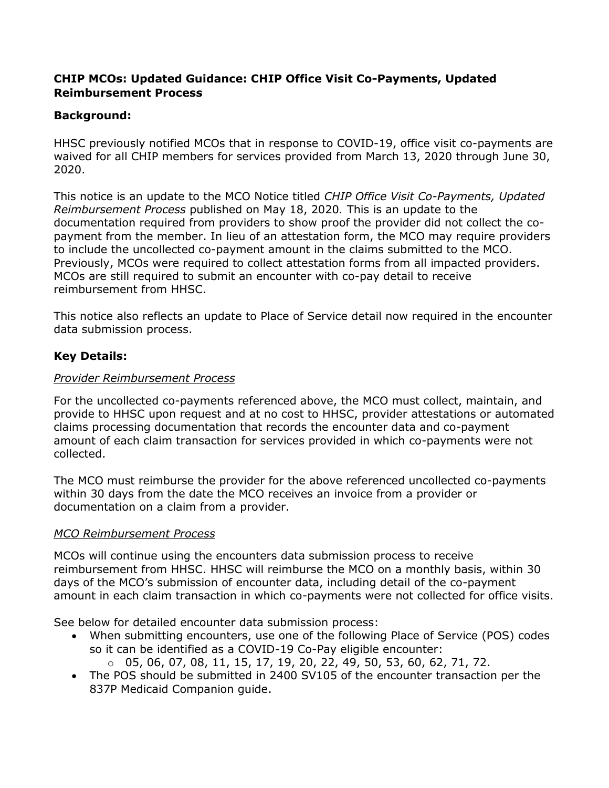## **CHIP MCOs: Updated Guidance: CHIP Office Visit Co-Payments, Updated Reimbursement Process**

# **Background:**

HHSC previously notified MCOs that in response to COVID-19, office visit co-payments are waived for all CHIP members for services provided from March 13, 2020 through June 30, 2020.

This notice is an update to the MCO Notice titled *CHIP Office Visit Co-Payments, Updated Reimbursement Process* published on May 18, 2020*.* This is an update to the documentation required from providers to show proof the provider did not collect the copayment from the member. In lieu of an attestation form, the MCO may require providers to include the uncollected co-payment amount in the claims submitted to the MCO. Previously, MCOs were required to collect attestation forms from all impacted providers. MCOs are still required to submit an encounter with co-pay detail to receive reimbursement from HHSC.

This notice also reflects an update to Place of Service detail now required in the encounter data submission process.

## **Key Details:**

#### *Provider Reimbursement Process*

For the uncollected co-payments referenced above, the MCO must collect, maintain, and provide to HHSC upon request and at no cost to HHSC, provider attestations or automated claims processing documentation that records the encounter data and co-payment amount of each claim transaction for services provided in which co-payments were not collected.

The MCO must reimburse the provider for the above referenced uncollected co-payments within 30 days from the date the MCO receives an invoice from a provider or documentation on a claim from a provider.

#### *MCO Reimbursement Process*

MCOs will continue using the encounters data submission process to receive reimbursement from HHSC. HHSC will reimburse the MCO on a monthly basis, within 30 days of the MCO's submission of encounter data, including detail of the co-payment amount in each claim transaction in which co-payments were not collected for office visits.

See below for detailed encounter data submission process:

- When submitting encounters, use one of the following Place of Service (POS) codes so it can be identified as a COVID-19 Co-Pay eligible encounter:
	- $0.05, 06, 07, 08, 11, 15, 17, 19, 20, 22, 49, 50, 53, 60, 62, 71, 72.$
- The POS should be submitted in 2400 SV105 of the encounter transaction per the 837P Medicaid Companion guide.